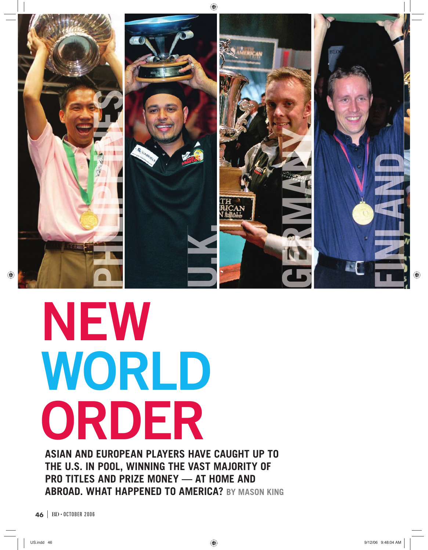

# **NEW WORLD ORDER**

**ASIAN AND EUROPEAN PLAYERS HAVE CAUGHT UP TO THE U.S. IN POOL, WINNING THE VAST MAJORITY OF PRO TITLES AND PRIZE MONEY — AT HOME AND ABROAD. WHAT HAPPENED TO AMERICA? BY MASON KING**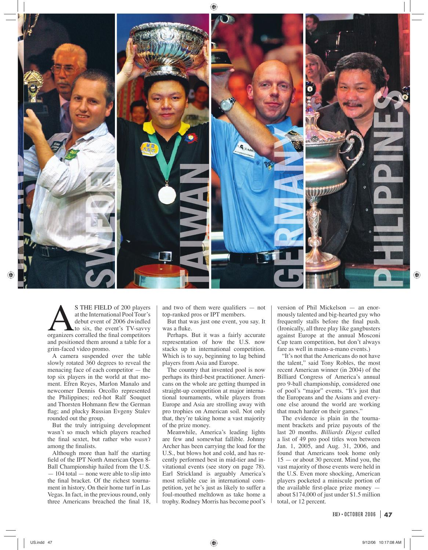

S THE FIELD of 200 players<br>at the International Pool Tour's<br>debut event of 2006 dwindled<br>to six, the event's TV-savvy<br>organizers corralled the final competitors at the International Pool Tour's debut event of 2006 dwindled to six, the event's TV-savvy and positioned them around a table for a grim-faced video promo.

A camera suspended over the table slowly rotated 360 degrees to reveal the menacing face of each competitor — the top six players in the world at that moment. Efren Reyes, Marlon Manalo and newcomer Dennis Orcollo represented the Philippines; red-hot Ralf Souquet and Thorsten Hohmann flew the German flag; and plucky Russian Evgeny Stalev rounded out the group.

But the truly intriguing development wasn't so much which players reached the final sextet, but rather who *wasn't* among the finalists.

Although more than half the starting field of the IPT North American Open 8-Ball Championship hailed from the U.S. — 104 total — none were able to slip into the final bracket. Of the richest tournament in history. On their home turf in Las Vegas. In fact, in the previous round, only three Americans breached the final 18, and two of them were qualifiers  $-$  not top-ranked pros or IPT members.

But that was just one event, you say. It was a fluke.

Perhaps. But it was a fairly accurate representation of how the U.S. now stacks up in international competition. Which is to say, beginning to lag behind players from Asia and Europe.

The country that invented pool is now perhaps its third-best practitioner. Americans on the whole are getting thumped in straight-up competition at major international tournaments, while players from Europe and Asia are strolling away with pro trophies on American soil. Not only that, they're taking home a vast majority of the prize money.

Meanwhile, America's leading lights are few and somewhat fallible. Johnny Archer has been carrying the load for the U.S., but blows hot and cold, and has recently performed best in mid-tier and invitational events (see story on page 78). Earl Strickland is arguably America's most reliable cue in international competition, yet he's just as likely to suffer a foul-mouthed meltdown as take home a trophy. Rodney Morris has become pool's version of Phil Mickelson — an enormously talented and big-hearted guy who frequently stalls before the final push. (Ironically, all three play like gangbusters against Europe at the annual Mosconi Cup team competition, but don't always fare as well in mano-a-mano events.)

"It's not that the Americans do not have the talent," said Tony Robles, the most recent American winner (in 2004) of the Billiard Congress of America's annual pro 9-ball championship, considered one of pool's "major" events. "It's just that the Europeans and the Asians and everyone else around the world are working that much harder on their games."

The evidence is plain in the tournament brackets and prize payouts of the last 20 months. *Billiards Digest* culled a list of 49 pro pool titles won between Jan. 1, 2005, and Aug. 31, 2006, and found that Americans took home only 15 — or about 30 percent. Mind you, the vast majority of those events were held in the U.S. Even more shocking, American players pocketed a miniscule portion of the available first-place prize money  $$ about \$174,000 of just under \$1.5 million total, or 12 percent.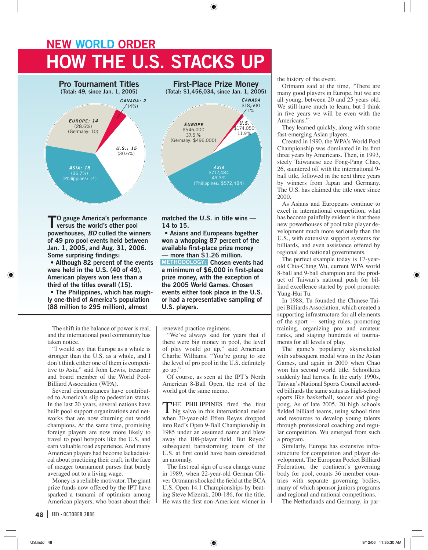## **NEW WORLD ORDER HOW THE U.S. STACKS UP**



**TO gauge America's performance versus the world's other pool powerhouses,** *BD* **culled the winners of 49 pro pool events held between Jan. 1, 2005, and Aug. 31, 2006. Some surprising findings:** 

**• Although 82 percent of the events were held in the U.S. (40 of 49), American players won less than a third of the titles overall (15).** 

**• The Philippines, which has roughly one-third of America's population (88 million to 295 million), almost** 

The shift in the balance of power is real, and the international pool community has taken notice.

"I would say that Europe as a whole is stronger than the U.S. as a whole, and I don't think either one of them is competitive to Asia," said John Lewis, treasurer and board member of the World Pool-Billiard Association (WPA).

Several circumstances have contributed to America's slip to pedestrian status. In the last 20 years, several nations have built pool support organizations and networks that are now churning out world champions. At the same time, promising foreign players are now more likely to travel to pool hotspots like the U.S. and earn valuable road experience. And many American players had become lackadaisical about practicing their craft, in the face of meager tournament purses that barely averaged out to a living wage.

Money is a reliable motivator. The giant prize funds now offered by the IPT have sparked a tsunami of optimism among American players, who boast about their **matched the U.S. in title wins — 14 to 15.**

**• Asians and Europeans together won a whopping 87 percent of the available fi rst-place prize money — more than \$1.26 million. METHODOLOGY: Chosen events had**  a minimum of \$6,000 in first-place **prize money, with the exception of the 2005 World Games. Chosen events either took place in the U.S. or had a representative sampling of U.S. players.**

renewed practice regimens.

"We've always said for years that if there were big money in pool, the level of play would go up," said American Charlie Williams. "You're going to see the level of pro pool in the U.S. definitely go up."

Of course, as seen at the IPT's North American 8-Ball Open, the rest of the world got the same memo.

THE PHILIPPINES fired the first big salvo in this international melee when 30-year-old Efren Reyes dropped into Red's Open 9-Ball Championship in 1985 under an assumed name and blew away the 108-player field. But Reyes' subsequent barnstorming tours of the U.S. at first could have been considered an anomaly.

The first real sign of a sea change came in 1989, when 22-year-old German Oliver Ortmann shocked the field at the BCA U.S. Open 14.1 Championships by beating Steve Mizerak, 200-186, for the title. He was the first non-American winner in the history of the event.

Ortmann said at the time, "There are many good players in Europe, but we are all young, between 20 and 25 years old. We still have much to learn, but I think in five years we will be even with the Americans."

They learned quickly, along with some fast-emerging Asian players.

Created in 1990, the WPA's World Pool Championship was dominated in its first three years by Americans. Then, in 1993, steely Taiwanese ace Fong-Pang Chao, 26, sauntered off with the international 9 ball title, followed in the next three years by winners from Japan and Germany. The U.S. has claimed the title once since 2000.

As Asians and Europeans continue to excel in international competition, what has become painfully evident is that these new powerhouses of pool take player development much more seriously than the U.S., with extensive support systems for billiards, and even assistance offered by regional and national governments.

The perfect example today is 17-yearold Chia-Ching Wu, current WPA world 8-ball and 9-ball champion and the product of Taiwan's national push for billiard excellence started by pool promoter Yung-Hui Tu.

In 1988, Tu founded the Chinese Taipei Billiards Association, which created a supporting infrastructure for all elements of the sport — setting rules, promoting training, organizing pro and amateur ranks, and staging hundreds of tournaments for all levels of play.

The game's popularity skyrocketed with subsequent medal wins in the Asian Games, and again in 2000 when Chao won his second world title. Schoolkids suddenly had heroes. In the early 1990s, Taiwan's National Sports Council accorded billiards the same status as high-school sports like basketball, soccer and pingpong. As of late 2005, 20 high schools fielded billiard teams, using school time and resources to develop young talents through professional coaching and regular competition. Wu emerged from such a program.

Similarly, Europe has extensive infrastructure for competition and player development. The European Pocket Billiard Federation, the continent's governing body for pool, counts 36 member countries with separate governing bodies, many of which sponsor juniors programs and regional and national competitions.

The Netherlands and Germany, in par-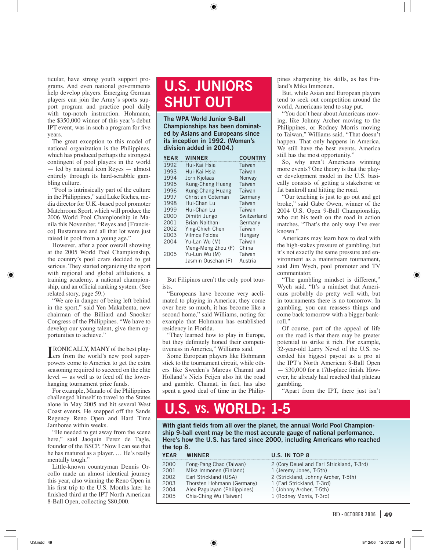ticular, have strong youth support programs. And even national governments help develop players. Emerging German players can join the Army's sports support program and practice pool daily with top-notch instruction. Hohmann, the \$350,000 winner of this year's debut IPT event, was in such a program for five years.

The great exception to this model of national organization is the Philippines, which has produced perhaps the strongest contingent of pool players in the world — led by national icon Reyes — almost entirely through its hard-scrabble gambling culture.

"Pool is intrinsically part of the culture in the Philippines," said Luke Riches, media director for U.K.-based pool promoter Matchroom Sport, which will produce the 2006 World Pool Championship in Manila this November. "Reyes and [Francisco] Bustamante and all that lot were just raised in pool from a young age."

However, after a poor overall showing at the 2005 World Pool Championship, the country's pool czars decided to get serious. They started organizing the sport with regional and global affiliations, a training academy, a national championship, and an official ranking system. (See related story, page 59.)

"We are in danger of being left behind in the sport," said Yen Makabenta, new chairman of the Billiard and Snooker Congress of the Philippines. "We have to develop our young talent, give them opportunities to achieve."

**TRONICALLY, MANY** of the best play-<br>Lers from the world's new pool superers from the world's new pool superpowers come to America to get the extra seasoning required to succeed on the elite level — as well as to feed off the lowerhanging tournament prize funds.

For example, Manalo of the Philippines challenged himself to travel to the States alone in May 2005 and hit several West Coast events. He snapped off the Sands Regency Reno Open and Hard Time Jamboree within weeks.

"He needed to get away from the scene here," said Jaoquin Perez de Tagle, founder of the BSCP. "Now I can see that he has matured as a player. … He's really mentally tough."

Little-known countryman Dennis Orcollo made an almost identical journey this year, also winning the Reno Open in his first trip to the U.S. Months later he finished third at the IPT North American 8-Ball Open, collecting \$80,000.

### **U.S. JUNIORS SHUT OUT**

**The WPA World Junior 9-Ball Championships has been dominated by Asians and Europeans since its inception in 1992. (Women's division added in 2004.)**

| <b>YEAR</b> | <b>WINNER</b>         | <b>COUNTRY</b> |
|-------------|-----------------------|----------------|
| 1992        | Hui-Kai Hsia          | Taiwan         |
| 1993        | Hui-Kai Hsia          | Taiwan         |
| 1994        | Jorn Kjolaas          | Norway         |
| 1995        | Kung-Chang Huang      | Taiwan         |
| 1996        | Kung-Chang Huang      | Taiwan         |
| 1997        | Christian Goteman     | Germany        |
| 1998        | Hui-Chan Lu           | Taiwan         |
| 1999        | Hui-Chan Lu           | Taiwan         |
| 2000        | Dimitri Jungo         | Switzerland    |
| 2001        | <b>Brian Naithani</b> | Germany        |
| 2002        | Ying-Chieh Chen       | Taiwan         |
| 2003        | <b>Vilmos Foldes</b>  | Hungary        |
| 2004        | Yu-Lan Wu (M)         | Taiwan         |
|             | Meng-Meng Zhou (F)    | China          |
| 2005        | Yu-Lun Wu (M)         | Taiwan         |
|             | Jasmin Ouschan (F)    | Austria        |

But Filipinos aren't the only pool tourists.

"Europeans have become very acclimated to playing in America; they come over here so much, it has become like a second home," said Williams, noting for example that Hohmann has established residency in Florida.

"They learned how to play in Europe, but they definitely honed their competitiveness in America," Williams said.

Some European players like Hohmann stick to the tournament circuit, while others like Sweden's Marcus Chamat and Holland's Niels Feijen also hit the road and gamble. Chamat, in fact, has also spent a good deal of time in the Philippines sharpening his skills, as has Finland's Mika Immonen.

But, while Asian and European players tend to seek out competition around the world, Americans tend to stay put.

"You don't hear about Americans moving, like Johnny Archer moving to the Philippines, or Rodney Morris moving to Taiwan," Williams said. "That doesn't happen. That only happens in America. We still have the best events. America still has the most opportunity."

So, why aren't Americans winning more events? One theory is that the player development model in the U.S. basically consists of getting a stakehorse or fat bankroll and hitting the road.

"Our teaching is just to go out and get broke," said Gabe Owen, winner of the 2004 U.S. Open 9-Ball Championship, who cut his teeth on the road in action matches. "That's the only way I've ever known."

Americans may learn how to deal with the high-stakes pressure of gambling, but it's not exactly the same pressure and environment as a mainstream tournament, said Jim Wych, pool promoter and TV commentator.

"The gambling mindset is different," Wych said. "It's a mindset that Americans probably do pretty well with, but in tournaments there is no tomorrow. In gambling, you can reassess things and come back tomorrow with a bigger bankroll."

Of course, part of the appeal of life on the road is that there may be greater potential to strike it rich. For example, 32-year-old Larry Nevel of the U.S. recorded his biggest payout as a pro at the IPT's North American 8-Ball Open  $-$  \$30,000 for a 17th-place finish. However, he already had reached that plateau gambling.

"Apart from the IPT, there just isn't

#### **U.S. VS. WORLD: 1-5**

With giant fields from all over the planet, the annual World Pool Champion**ship 9-ball event may be the most accurate gauge of national performance. Here's how the U.S. has fared since 2000, including Americans who reached the top 8.**

| <b>YEAR</b> | <b>WINNFR</b>                | U.S. IN TOP 8                             |
|-------------|------------------------------|-------------------------------------------|
| 2000        | Fong-Pang Chao (Taiwan)      | 2 (Cory Deuel and Earl Strickland, T-3rd) |
| 2001        | Mika Immonen (Finland)       | 1 (Jeremy Jones, T-5th)                   |
| 2002        | Earl Strickland (USA)        | 2 (Strickland; Johnny Archer, T-5th)      |
| 2003        | Thorsten Hohmann (Germany)   | 1 (Earl Strickland, T-3rd)                |
| 2004        | Alex Pagulayan (Philippines) | 1 (Johnny Archer, T-5th)                  |
| 2005        | Chia-Ching Wu (Taiwan)       | 1 (Rodney Morris, T-3rd)                  |
|             |                              |                                           |